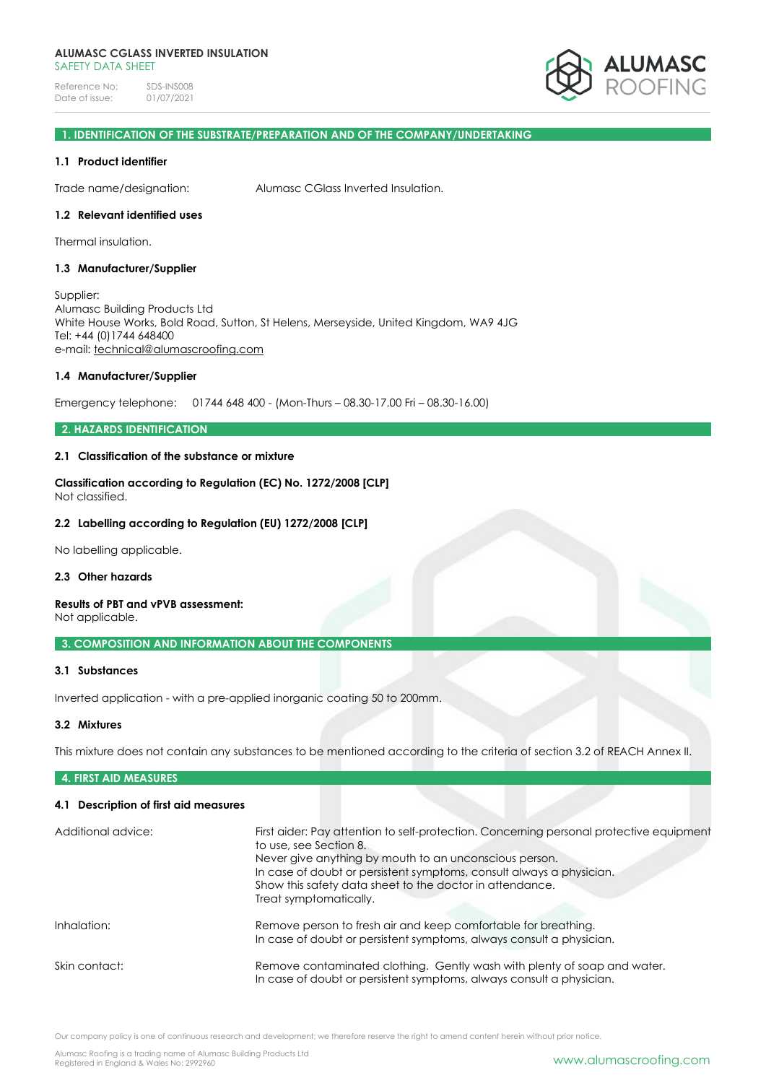Reference No: SDS-INS008<br>Date of issue: 01/07/2021 Date of issue:



#### **1. IDENTIFICATION OF THE SUBSTRATE/PREPARATION AND OF THE COMPANY/UNDERTAKING**

#### **1.1 Product identifier**

Trade name/designation: Alumasc CGlass Inverted Insulation.

#### **1.2 Relevant identified uses**

Thermal insulation.

#### **1.3 Manufacturer/Supplier**

Supplier: Alumasc Building Products Ltd White House Works, Bold Road, Sutton, St Helens, Merseyside, United Kingdom, WA9 4JG Tel: +44 (0)1744 648400 e-mail: [technical@alumascroofing.com](mailto:technical@alumascroofing.com)

#### **1.4 Manufacturer/Supplier**

Emergency telephone: 01744 648 400 - (Mon-Thurs – 08.30-17.00 Fri – 08.30-16.00)

#### **2. HAZARDS IDENTIFICATION**

#### **2.1 Classification of the substance or mixture**

**Classification according to Regulation (EC) No. 1272/2008 [CLP]** Not classified.

#### **2.2 Labelling according to Regulation (EU) 1272/2008 [CLP]**

No labelling applicable.

#### **2.3 Other hazards**

#### **Results of PBT and vPVB assessment:**

Not applicable.

#### **3. COMPOSITION AND INFORMATION ABOUT THE COMPONENTS**

#### **3.1 Substances**

Inverted application - with a pre-applied inorganic coating 50 to 200mm.

#### **3.2 Mixtures**

This mixture does not contain any substances to be mentioned according to the criteria of section 3.2 of REACH Annex II.

#### **4. FIRST AID MEASURES**

#### **4.1 Description of first aid measures**

| Additional advice: | First aider: Pay attention to self-protection. Concerning personal protective equipment<br>to use, see Section 8.<br>Never give anything by mouth to an unconscious person.<br>In case of doubt or persistent symptoms, consult always a physician.<br>Show this safety data sheet to the doctor in attendance.<br>Treat symptomatically. |
|--------------------|-------------------------------------------------------------------------------------------------------------------------------------------------------------------------------------------------------------------------------------------------------------------------------------------------------------------------------------------|
| Inhalation:        | Remove person to fresh air and keep comfortable for breathing.<br>In case of doubt or persistent symptoms, always consult a physician.                                                                                                                                                                                                    |
| Skin contact:      | Remove contaminated clothing. Gently wash with plenty of soap and water.<br>In case of doubt or persistent symptoms, always consult a physician.                                                                                                                                                                                          |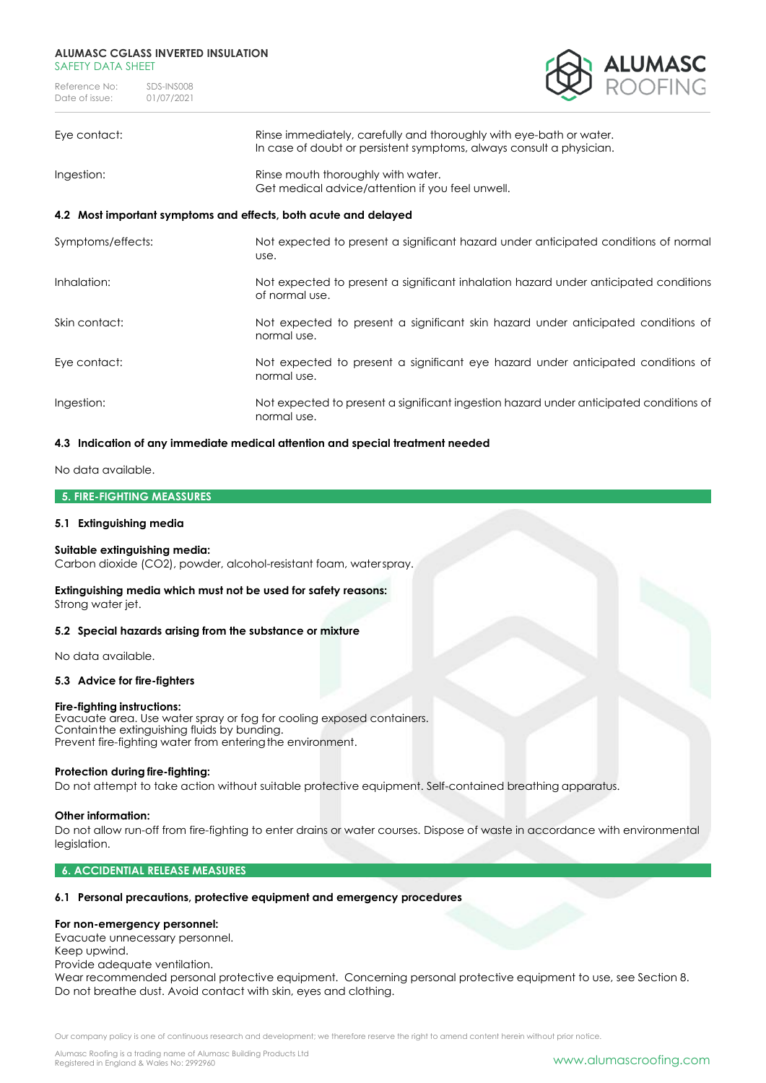Reference No: SDS-INS008<br>Date of issue: 01/07/2021 Date of issue:



| Eye contact:                                                    | Rinse immediately, carefully and thoroughly with eye-bath or water.<br>In case of doubt or persistent symptoms, always consult a physician. |  |
|-----------------------------------------------------------------|---------------------------------------------------------------------------------------------------------------------------------------------|--|
| Ingestion:                                                      | Rinse mouth thoroughly with water.<br>Get medical advice/attention if you feel unwell.                                                      |  |
| 4.2 Most important symptoms and effects, both acute and delayed |                                                                                                                                             |  |
| Symptoms/effects:                                               | Not expected to present a significant hazard under anticipated conditions of normal<br>use.                                                 |  |
| Inhalation:                                                     | Not expected to present a significant inhalation hazard under anticipated conditions<br>of normal use.                                      |  |
| Skin contact:                                                   | Not expected to present a significant skin hazard under anticipated conditions of<br>normal use.                                            |  |
| Eye contact:                                                    | Not expected to present a significant eye hazard under anticipated conditions of<br>normal use.                                             |  |
| Ingestion:                                                      | Not expected to present a significant ingestion hazard under anticipated conditions of<br>normal use.                                       |  |

#### **4.3 Indication of any immediate medical attention and special treatment needed**

No data available.

#### **5. FIRE-FIGHTING MEASSURES**

#### **5.1 Extinguishing media**

#### **Suitable extinguishing media:**

Carbon dioxide (CO2), powder, alcohol-resistant foam, waterspray.

## **Extinguishing media which must not be used for safety reasons:**

Strong water jet.

#### **5.2 Special hazards arising from the substance or mixture**

No data available.

#### **5.3 Advice for fire-fighters**

#### **Fire-fighting instructions:**

Evacuate area. Use water spray or fog for cooling exposed containers. Containthe extinguishing fluids by bunding. Prevent fire-fighting water from entering the environment.

#### **Protection during fire-fighting:**

Do not attempt to take action without suitable protective equipment. Self-contained breathing apparatus.

#### **Other information:**

Do not allow run-off from fire-fighting to enter drains or water courses. Dispose of waste in accordance with environmental legislation.

#### **6. ACCIDENTIAL RELEASE MEASURES**

#### **6.1 Personal precautions, protective equipment and emergency procedures**

#### **For non-emergency personnel:**

Evacuate unnecessary personnel.

Keep upwind.

Provide adequate ventilation.

Wear recommended personal protective equipment. Concerning personal protective equipment to use, see Section 8. Do not breathe dust. Avoid contact with skin, eyes and clothing.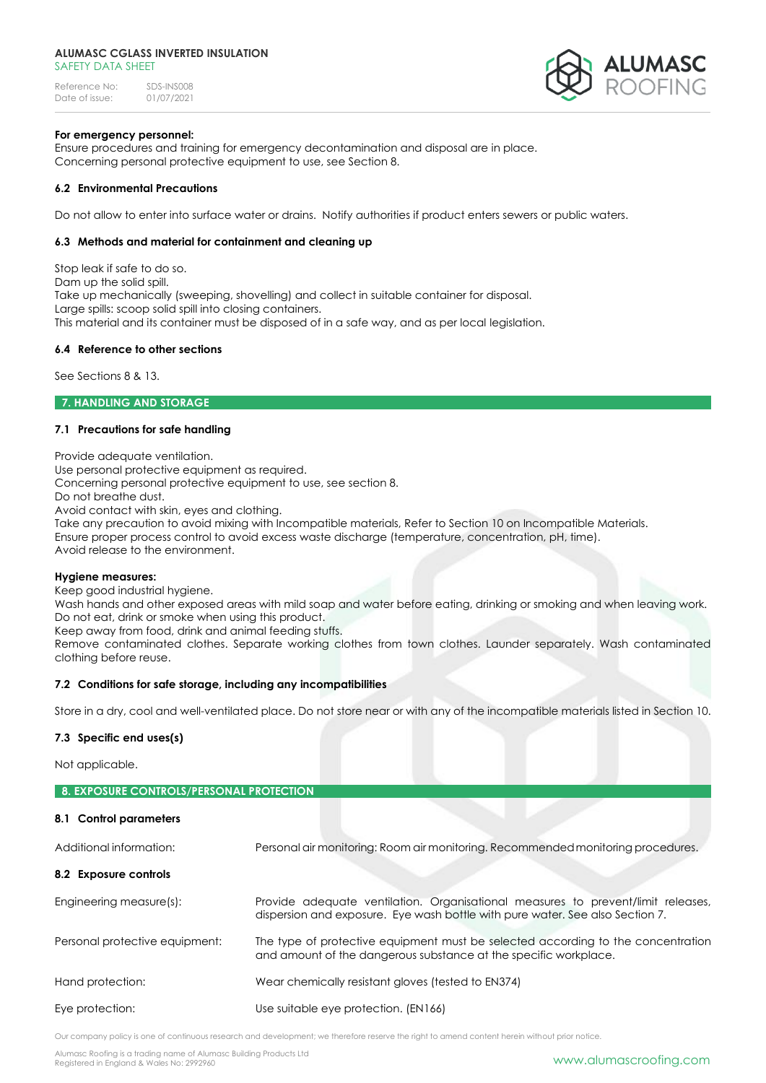Reference No: SDS-INS008<br>Date of issue: 01/07/2021 Date of issue:



#### **For emergency personnel:**

Ensure procedures and training for emergency decontamination and disposal are in place. Concerning personal protective equipment to use, see Section 8.

#### **6.2 Environmental Precautions**

Do not allow to enter into surface water or drains. Notify authorities if product enters sewers or public waters.

#### **6.3 Methods and material for containment and cleaning up**

Stop leak if safe to do so. Dam up the solid spill. Take up mechanically (sweeping, shovelling) and collect in suitable container for disposal. Large spills: scoop solid spill into closing containers. This material and its container must be disposed of in a safe way, and as per local legislation.

#### **6.4 Reference to other sections**

See Sections 8 & 13.

**7. HANDLING AND STORAGE** 

#### **7.1 Precautions for safe handling**

Provide adequate ventilation.

Use personal protective equipment as required.

Concerning personal protective equipment to use, see section 8.

Do not breathe dust.

Avoid contact with skin, eyes and clothing.

Take any precaution to avoid mixing with Incompatible materials, Refer to Section 10 on Incompatible Materials. Ensure proper process control to avoid excess waste discharge (temperature, concentration, pH, time). Avoid release to the environment.

#### **Hygiene measures:**

Keep good industrial hygiene.

Wash hands and other exposed areas with mild soap and water before eating, drinking or smoking and when leaving work. Do not eat, drink or smoke when using this product.

Keep away from food, drink and animal feeding stuffs.

Remove contaminated clothes. Separate working clothes from town clothes. Launder separately. Wash contaminated clothing before reuse.

#### **7.2 Conditions for safe storage, including any incompatibilities**

Store in a dry, cool and well-ventilated place. Do not store near or with any of the incompatible materials listed in Section 10.

#### **7.3 Specific end uses(s)**

Not applicable.

| <b>8. EXPOSURE CONTROLS/PERSONAL PROTECTION</b> |                                                                                                                                                                   |
|-------------------------------------------------|-------------------------------------------------------------------------------------------------------------------------------------------------------------------|
| 8.1 Control parameters                          |                                                                                                                                                                   |
| Additional information:                         | Personal air monitoring: Room air monitoring. Recommended monitoring procedures.                                                                                  |
| 8.2 Exposure controls                           |                                                                                                                                                                   |
| Engineering measure(s):                         | Provide adequate ventilation. Organisational measures to prevent/limit releases,<br>dispersion and exposure. Eye wash bottle with pure water, See also Section 7. |
| Personal protective equipment:                  | The type of protective equipment must be selected according to the concentration<br>and amount of the dangerous substance at the specific workplace.              |
| Hand protection:                                | Wear chemically resistant gloves (tested to EN374)                                                                                                                |
| Eye protection:                                 | Use suitable eye protection. (EN166)                                                                                                                              |

Our company policy is one of continuous research and development; we therefore reserve the right to amend content herein without prior notice.

Alumasc Roofing is a trading name of Alumasc Building Products Ltd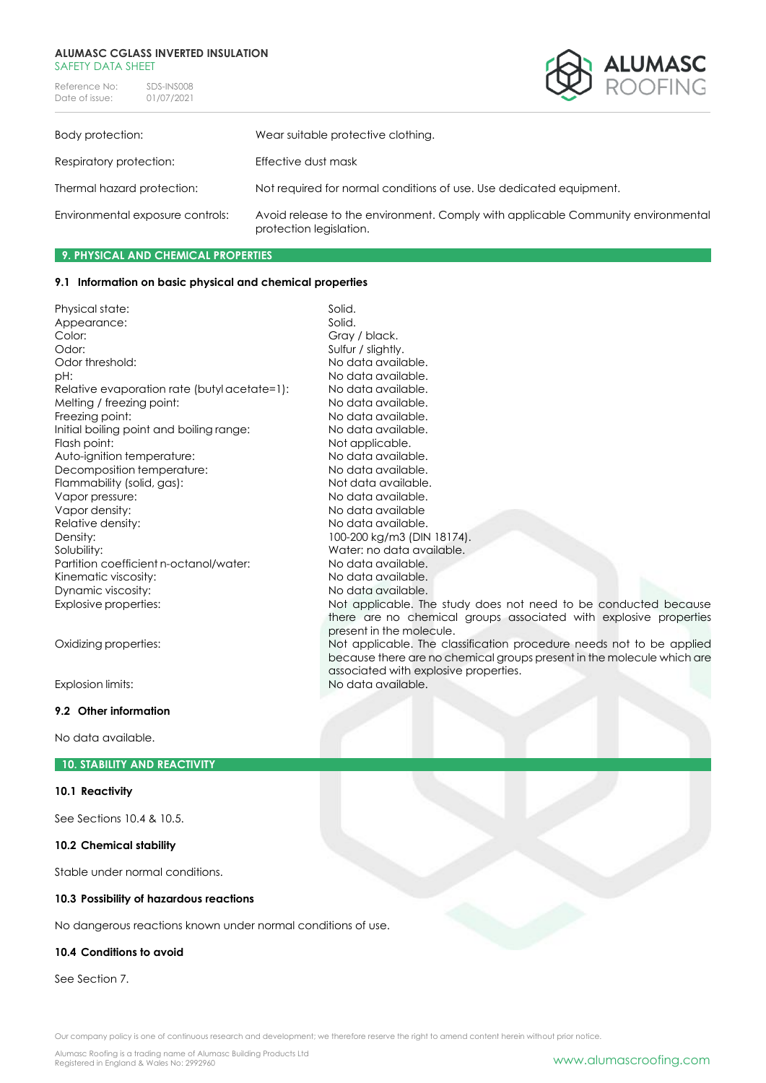Reference No: SDS-INS008<br>Date of issue: 01/07/2021 Date of issue:



| Body protection:                 | Wear suitable protective clothing.                                                                          |
|----------------------------------|-------------------------------------------------------------------------------------------------------------|
| Respiratory protection:          | Effective dust mask                                                                                         |
| Thermal hazard protection:       | Not required for normal conditions of use. Use dedicated equipment.                                         |
| Environmental exposure controls: | Avoid release to the environment. Comply with applicable Community environmental<br>protection legislation. |

#### **9. PHYSICAL AND CHEMICAL PROPERTIES**

#### **9.1 Information on basic physical and chemical properties**

|                                              | Solid.                                                                 |
|----------------------------------------------|------------------------------------------------------------------------|
| Physical state:                              | Solid.                                                                 |
| Appearance:<br>Color:                        | Gray / black.                                                          |
| Odor:                                        |                                                                        |
|                                              | Sulfur / slightly.                                                     |
| Odor threshold:                              | No data available.                                                     |
| pH:                                          | No data available.                                                     |
| Relative evaporation rate (butyl acetate=1): | No data available.                                                     |
| Melting / freezing point:                    | No data available.                                                     |
| Freezing point:                              | No data available.                                                     |
| Initial boiling point and boiling range:     | No data available.                                                     |
| Flash point:                                 | Not applicable.                                                        |
| Auto-ignition temperature:                   | No data available.                                                     |
| Decomposition temperature:                   | No data available.                                                     |
| Flammability (solid, gas):                   | Not data available.                                                    |
| Vapor pressure:                              | No data available.                                                     |
| Vapor density:                               | No data available                                                      |
| Relative density:                            | No data available.                                                     |
| Density:                                     | 100-200 kg/m3 (DIN 18174).                                             |
| Solubility:                                  | Water: no data available.                                              |
| Partition coefficient n-octanol/water:       | No data available.                                                     |
| Kinematic viscosity:                         | No data available.                                                     |
| Dynamic viscosity:                           | No data available.                                                     |
| Explosive properties:                        | Not applicable. The study does not need to be conducted because        |
|                                              | there are no chemical groups associated with explosive properties      |
|                                              | present in the molecule.                                               |
| Oxidizing properties:                        | Not applicable. The classification procedure needs not to be applied   |
|                                              | because there are no chemical groups present in the molecule which are |
|                                              | associated with explosive properties.                                  |
| Explosion limits:                            | No data available.                                                     |
| 9.2 Other information                        |                                                                        |
|                                              |                                                                        |

No data available.

#### **10. STABILITY AND REACTIVITY**

#### **10.1 Reactivity**

See Sections 10.4 & 10.5.

#### **10.2 Chemical stability**

Stable under normal conditions.

#### **10.3 Possibility of hazardous reactions**

No dangerous reactions known under normal conditions of use.

#### **10.4 Conditions to avoid**

See Section 7.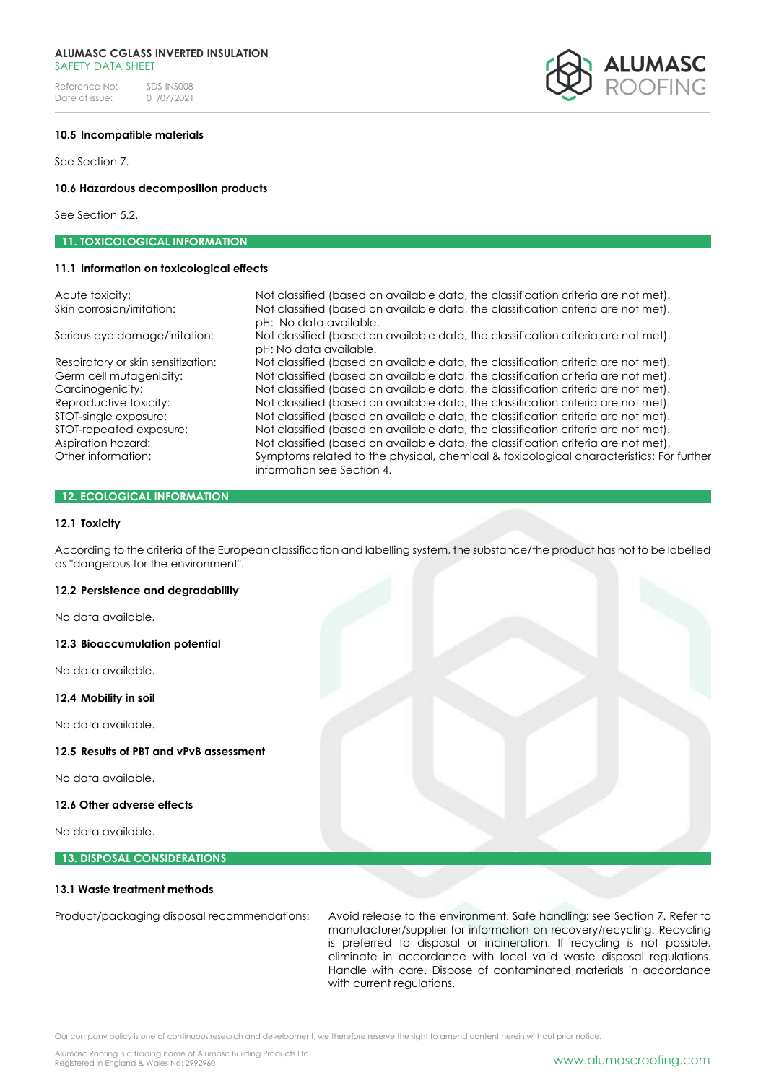Reference No: SDS-INS008<br>Date of issue: 01/07/2021 Date of issue:

#### **10.5 Incompatible materials**

See Section 7.

#### **10.6 Hazardous decomposition products**

See Section 5.2.

#### **11. TOXICOLOGICAL INFORMATION**

#### **11.1 Information on toxicological effects**

Acute toxicity: Not classified (based on available data, the classification criteria are not met). Skin corrosion/irritation: Not classified (based on available data, the classification criteria are not met). pH: No data available. Serious eye damage/irritation: Not classified (based on available data, the classification criteria are not met). pH: No data available. Respiratory or skin sensitization: Not classified (based on available data, the classification criteria are not met). Germ cell mutagenicity: Not classified (based on available data, the classification criteria are not met). Carcinogenicity: Not classified (based on available data, the classification criteria are not met). Reproductive toxicity: Not classified (based on available data, the classification criteria are not met). STOT-single exposure: Not classified (based on available data, the classification criteria are not met). STOT-repeated exposure: Not classified (based on available data, the classification criteria are not met). Aspiration hazard: Not classified (based on available data, the classification criteria are not met).<br>
Other information: Symptoms related to the physical chemical & toxicological characteristics: For Symptoms related to the physical, chemical & toxicological characteristics: For further information see Section 4.

#### **12. ECOLOGICAL INFORMATION**

#### **12.1 Toxicity**

According to the criteria of the European classification and labelling system, the substance/the product has not to be labelled as "dangerous for the environment".

#### **12.2 Persistence and degradability**

No data available.

#### **12.3 Bioaccumulation potential**

No data available.

#### **12.4 Mobility in soil**

No data available.

#### **12.5 Results of PBT and vPvB assessment**

No data available.

#### **12.6 Other adverse effects**

No data available.

#### **13. DISPOSAL CONSIDERATIONS**

#### **13.1 Waste treatment methods**

Product/packaging disposal recommendations: Avoid release to the environment. Safe handling: see Section 7. Refer to manufacturer/supplier for information on recovery/recycling. Recycling is preferred to disposal or incineration. If recycling is not possible, eliminate in accordance with local valid waste disposal regulations. Handle with care. Dispose of contaminated materials in accordance with current regulations.

Our company policy is one of continuous research and development; we therefore reserve the right to amend content herein without prior notice.

Alumasc Roofing is a trading name of Alumasc Building Products Ltd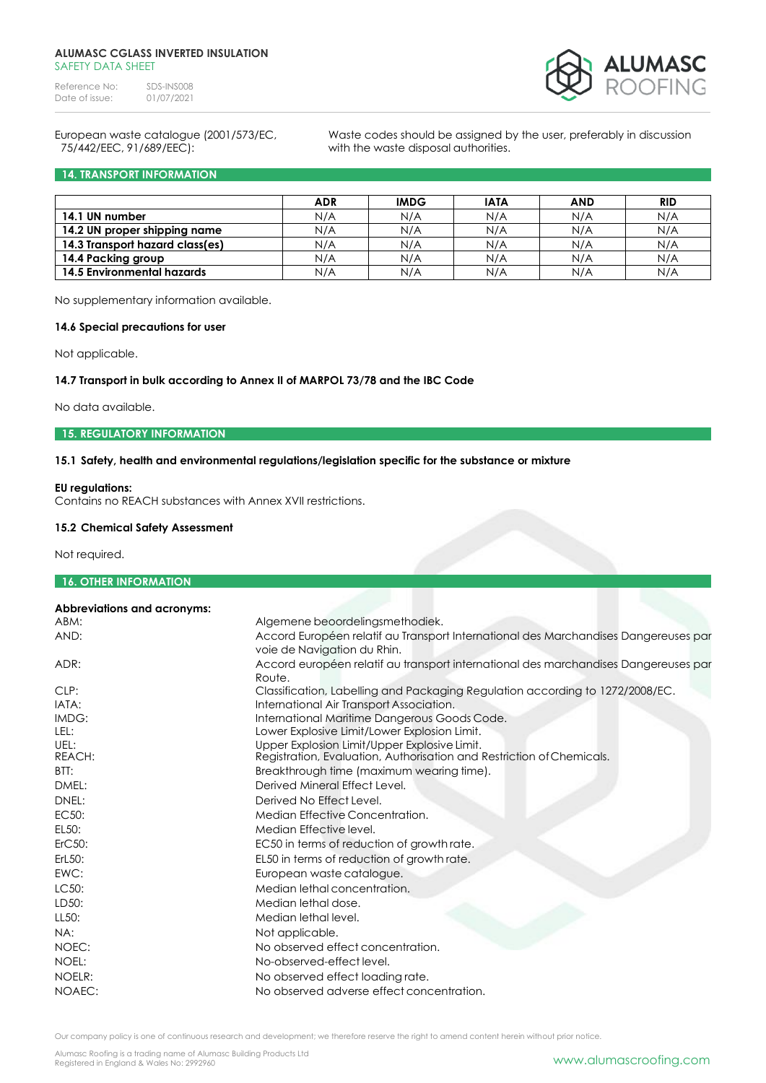Reference No: SDS-INS008<br>Date of issue: 01/07/2021 Date of issue:



# 75/442/EEC, 91/689/EEC): with the waste disposal authorities.

European waste catalogue (2001/573/EC, Waste codes should be assigned by the user, preferably in discussion

#### **14. TRANSPORT INFORMATION**

|                                   | <b>ADR</b> | <b>IMDG</b> | <b>IATA</b> | <b>AND</b> | <b>RID</b> |
|-----------------------------------|------------|-------------|-------------|------------|------------|
| 14.1 UN number                    | N/A        | N/A         | N/A         | N/A        | N/A        |
| 14.2 UN proper shipping name      | N/A        | N/A         | N/A         | N/A        | N/A        |
| 14.3 Transport hazard class(es)   | N/A        | N/A         | N/A         | N/A        | N/A        |
| 14.4 Packing group                | N/A        | N/A         | N/A         | N/A        | N/A        |
| <b>14.5 Environmental hazards</b> | N/A        | N/A         | N/A         | N/A        | N/A        |

No supplementary information available.

#### **14.6 Special precautions for user**

Not applicable.

### **14.7 Transport in bulk according to Annex II of MARPOL 73/78 and the IBC Code**

No data available.

#### **15. REGULATORY INFORMATION**

#### **15.1 Safety, health and environmental regulations/legislation specific for the substance or mixture**

#### **EU regulations:**

Contains no REACH substances with Annex XVII restrictions.

#### **15.2 Chemical Safety Assessment**

Not required.

#### **16. OTHER INFORMATION**

| <b>Abbreviations and acronyms:</b> |                                                                                                                    |
|------------------------------------|--------------------------------------------------------------------------------------------------------------------|
| ABM:                               | Algemene beoordelingsmethodiek.                                                                                    |
| AND:                               | Accord Européen relatif au Transport International des Marchandises Dangereuses par<br>voie de Navigation du Rhin. |
| ADR:                               | Accord européen relatif au transport international des marchandises Dangereuses par<br>Route.                      |
| CLP:                               | Classification, Labelling and Packaging Regulation according to 1272/2008/EC.                                      |
| IATA:                              | International Air Transport Association.                                                                           |
| IMDG:                              | International Maritime Dangerous Goods Code.                                                                       |
| LEL:                               | Lower Explosive Limit/Lower Explosion Limit.                                                                       |
| UEL:                               | Upper Explosion Limit/Upper Explosive Limit.                                                                       |
| REACH:                             | Registration, Evaluation, Authorisation and Restriction of Chemicals.                                              |
| BTT:                               | Breakthrough time (maximum wearing time).                                                                          |
| DMEL:                              | Derived Mineral Effect Level.                                                                                      |
| DNEL:                              | Derived No Effect Level.                                                                                           |
| EC50:                              | Median Effective Concentration.                                                                                    |
| EL50:                              | Median Effective level.                                                                                            |
| ErC50:                             | EC50 in terms of reduction of growth rate.                                                                         |
| ErL50:                             | EL50 in terms of reduction of growth rate.                                                                         |
| EWC:                               | European waste catalogue.                                                                                          |
| LC50:                              | Median lethal concentration.                                                                                       |
| LD50:                              | Median lethal dose.                                                                                                |
| LL50:                              | Median lethal level.                                                                                               |
| NA:                                | Not applicable.                                                                                                    |
| NOEC:                              | No observed effect concentration.                                                                                  |
| NOEL:                              | No-observed-effect level.                                                                                          |
| NOELR:                             | No observed effect loading rate.                                                                                   |
| NOAEC:                             | No observed adverse effect concentration.                                                                          |
|                                    |                                                                                                                    |

Our company policy is one of continuous research and development; we therefore reserve the right to amend content herein without prior notice.

Alumasc Roofing is a trading name of Alumasc Building Products Ltd